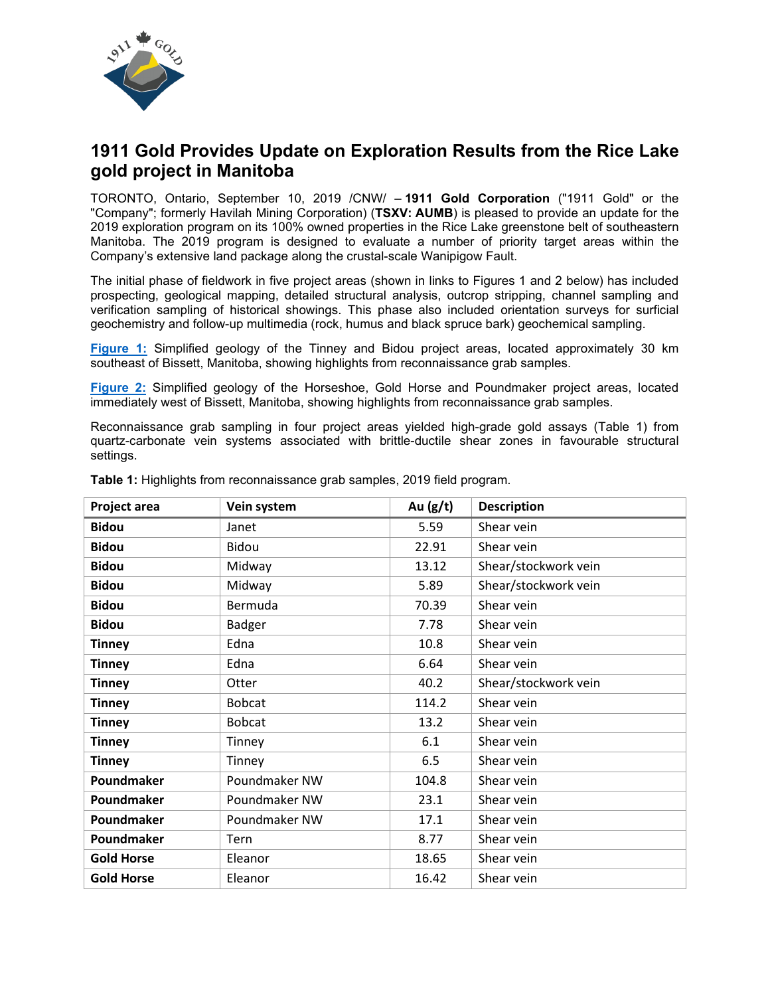

# **1911 Gold Provides Update on Exploration Results from the Rice Lake gold project in Manitoba**

TORONTO, Ontario, September 10, 2019 /CNW/ – **1911 Gold Corporation** ("1911 Gold" or the "Company"; formerly Havilah Mining Corporation) (**TSXV: AUMB**) is pleased to provide an update for the 2019 exploration program on its 100% owned properties in the Rice Lake greenstone belt of southeastern Manitoba. The 2019 program is designed to evaluate a number of priority target areas within the Company's extensive land package along the crustal-scale Wanipigow Fault.

The initial phase of fieldwork in five project areas (shown in links to Figures 1 and 2 below) has included prospecting, geological mapping, detailed structural analysis, outcrop stripping, channel sampling and verification sampling of historical showings. This phase also included orientation surveys for surficial geochemistry and follow-up multimedia (rock, humus and black spruce bark) geochemical sampling.

**[Figure 1:](https://www.1911gold.com/files/doc_news/2019/09/1911-Gold_Exploration-update_Figure-1.pdf)** Simplified geology of the Tinney and Bidou project areas, located approximately 30 km southeast of Bissett, Manitoba, showing highlights from reconnaissance grab samples.

**[Figure 2:](https://www.1911gold.com/files/doc_news/2019/09/1911-Gold_Exploration-update_Figure-2.pdf)** Simplified geology of the Horseshoe, Gold Horse and Poundmaker project areas, located immediately west of Bissett, Manitoba, showing highlights from reconnaissance grab samples.

Reconnaissance grab sampling in four project areas yielded high-grade gold assays (Table 1) from quartz-carbonate vein systems associated with brittle-ductile shear zones in favourable structural settings.

| Project area      | Vein system   | Au $(g/t)$ | <b>Description</b>   |
|-------------------|---------------|------------|----------------------|
| <b>Bidou</b>      | Janet         | 5.59       | Shear vein           |
| <b>Bidou</b>      | Bidou         | 22.91      | Shear vein           |
| <b>Bidou</b>      | Midway        | 13.12      | Shear/stockwork vein |
| <b>Bidou</b>      | Midway        | 5.89       | Shear/stockwork vein |
| <b>Bidou</b>      | Bermuda       | 70.39      | Shear vein           |
| <b>Bidou</b>      | Badger        | 7.78       | Shear vein           |
| <b>Tinney</b>     | Edna          | 10.8       | Shear vein           |
| <b>Tinney</b>     | Edna          | 6.64       | Shear vein           |
| <b>Tinney</b>     | Otter         | 40.2       | Shear/stockwork vein |
| <b>Tinney</b>     | <b>Bobcat</b> | 114.2      | Shear vein           |
| <b>Tinney</b>     | <b>Bobcat</b> | 13.2       | Shear vein           |
| <b>Tinney</b>     | Tinney        | 6.1        | Shear vein           |
| <b>Tinney</b>     | Tinney        | 6.5        | Shear vein           |
| Poundmaker        | Poundmaker NW | 104.8      | Shear vein           |
| Poundmaker        | Poundmaker NW | 23.1       | Shear vein           |
| Poundmaker        | Poundmaker NW | 17.1       | Shear vein           |
| Poundmaker        | Tern          | 8.77       | Shear vein           |
| <b>Gold Horse</b> | Eleanor       | 18.65      | Shear vein           |
| <b>Gold Horse</b> | Eleanor       | 16.42      | Shear vein           |

**Table 1:** Highlights from reconnaissance grab samples, 2019 field program.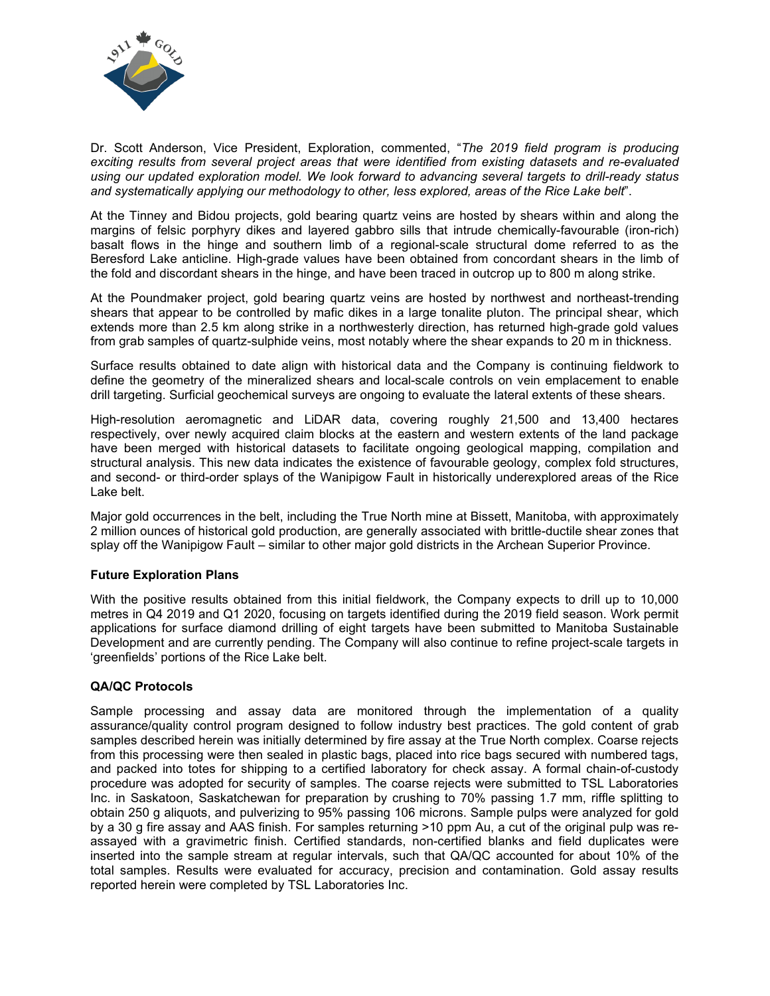

Dr. Scott Anderson, Vice President, Exploration, commented, "*The 2019 field program is producing exciting results from several project areas that were identified from existing datasets and re-evaluated using our updated exploration model. We look forward to advancing several targets to drill-ready status and systematically applying our methodology to other, less explored, areas of the Rice Lake belt*".

At the Tinney and Bidou projects, gold bearing quartz veins are hosted by shears within and along the margins of felsic porphyry dikes and layered gabbro sills that intrude chemically-favourable (iron-rich) basalt flows in the hinge and southern limb of a regional-scale structural dome referred to as the Beresford Lake anticline. High-grade values have been obtained from concordant shears in the limb of the fold and discordant shears in the hinge, and have been traced in outcrop up to 800 m along strike.

At the Poundmaker project, gold bearing quartz veins are hosted by northwest and northeast-trending shears that appear to be controlled by mafic dikes in a large tonalite pluton. The principal shear, which extends more than 2.5 km along strike in a northwesterly direction, has returned high-grade gold values from grab samples of quartz-sulphide veins, most notably where the shear expands to 20 m in thickness.

Surface results obtained to date align with historical data and the Company is continuing fieldwork to define the geometry of the mineralized shears and local-scale controls on vein emplacement to enable drill targeting. Surficial geochemical surveys are ongoing to evaluate the lateral extents of these shears.

High-resolution aeromagnetic and LiDAR data, covering roughly 21,500 and 13,400 hectares respectively, over newly acquired claim blocks at the eastern and western extents of the land package have been merged with historical datasets to facilitate ongoing geological mapping, compilation and structural analysis. This new data indicates the existence of favourable geology, complex fold structures, and second- or third-order splays of the Wanipigow Fault in historically underexplored areas of the Rice Lake belt.

Major gold occurrences in the belt, including the True North mine at Bissett, Manitoba, with approximately 2 million ounces of historical gold production, are generally associated with brittle-ductile shear zones that splay off the Wanipigow Fault – similar to other major gold districts in the Archean Superior Province.

## **Future Exploration Plans**

With the positive results obtained from this initial fieldwork, the Company expects to drill up to 10,000 metres in Q4 2019 and Q1 2020, focusing on targets identified during the 2019 field season. Work permit applications for surface diamond drilling of eight targets have been submitted to Manitoba Sustainable Development and are currently pending. The Company will also continue to refine project-scale targets in 'greenfields' portions of the Rice Lake belt.

### **QA/QC Protocols**

Sample processing and assay data are monitored through the implementation of a quality assurance/quality control program designed to follow industry best practices. The gold content of grab samples described herein was initially determined by fire assay at the True North complex. Coarse rejects from this processing were then sealed in plastic bags, placed into rice bags secured with numbered tags, and packed into totes for shipping to a certified laboratory for check assay. A formal chain-of-custody procedure was adopted for security of samples. The coarse rejects were submitted to TSL Laboratories Inc. in Saskatoon, Saskatchewan for preparation by crushing to 70% passing 1.7 mm, riffle splitting to obtain 250 g aliquots, and pulverizing to 95% passing 106 microns. Sample pulps were analyzed for gold by a 30 g fire assay and AAS finish. For samples returning >10 ppm Au, a cut of the original pulp was reassayed with a gravimetric finish. Certified standards, non-certified blanks and field duplicates were inserted into the sample stream at regular intervals, such that QA/QC accounted for about 10% of the total samples. Results were evaluated for accuracy, precision and contamination. Gold assay results reported herein were completed by TSL Laboratories Inc.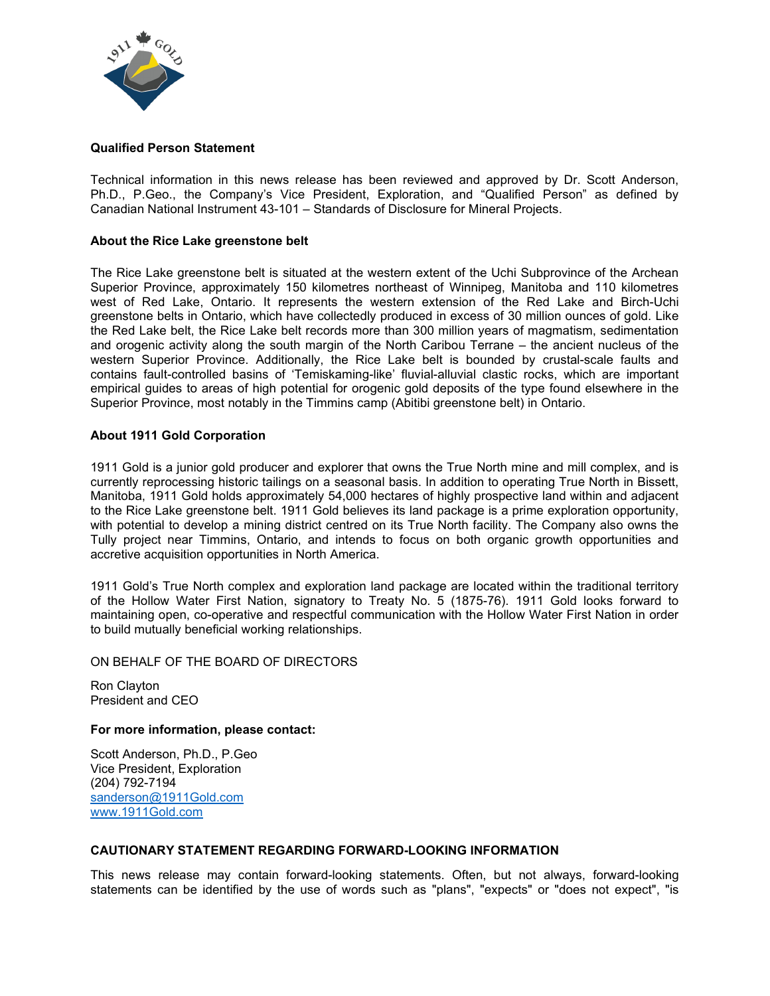

### **Qualified Person Statement**

Technical information in this news release has been reviewed and approved by Dr. Scott Anderson, Ph.D., P.Geo., the Company's Vice President, Exploration, and "Qualified Person" as defined by Canadian National Instrument 43-101 – Standards of Disclosure for Mineral Projects.

#### **About the Rice Lake greenstone belt**

The Rice Lake greenstone belt is situated at the western extent of the Uchi Subprovince of the Archean Superior Province, approximately 150 kilometres northeast of Winnipeg, Manitoba and 110 kilometres west of Red Lake, Ontario. It represents the western extension of the Red Lake and Birch-Uchi greenstone belts in Ontario, which have collectedly produced in excess of 30 million ounces of gold. Like the Red Lake belt, the Rice Lake belt records more than 300 million years of magmatism, sedimentation and orogenic activity along the south margin of the North Caribou Terrane – the ancient nucleus of the western Superior Province. Additionally, the Rice Lake belt is bounded by crustal-scale faults and contains fault-controlled basins of 'Temiskaming-like' fluvial-alluvial clastic rocks, which are important empirical guides to areas of high potential for orogenic gold deposits of the type found elsewhere in the Superior Province, most notably in the Timmins camp (Abitibi greenstone belt) in Ontario.

### **About 1911 Gold Corporation**

1911 Gold is a junior gold producer and explorer that owns the True North mine and mill complex, and is currently reprocessing historic tailings on a seasonal basis. In addition to operating True North in Bissett, Manitoba, 1911 Gold holds approximately 54,000 hectares of highly prospective land within and adjacent to the Rice Lake greenstone belt. 1911 Gold believes its land package is a prime exploration opportunity, with potential to develop a mining district centred on its True North facility. The Company also owns the Tully project near Timmins, Ontario, and intends to focus on both organic growth opportunities and accretive acquisition opportunities in North America.

1911 Gold's True North complex and exploration land package are located within the traditional territory of the Hollow Water First Nation, signatory to Treaty No. 5 (1875-76). 1911 Gold looks forward to maintaining open, co-operative and respectful communication with the Hollow Water First Nation in order to build mutually beneficial working relationships.

#### ON BEHALF OF THE BOARD OF DIRECTORS

Ron Clayton President and CEO

### **For more information, please contact:**

Scott Anderson, Ph.D., P.Geo Vice President, Exploration (204) 792-7194 [sanderson@1911Gold.com](mailto:sanderson@1911Gold.com) [www.1911Gold.com](http://www.1911gold.com/)

### **CAUTIONARY STATEMENT REGARDING FORWARD-LOOKING INFORMATION**

This news release may contain forward-looking statements. Often, but not always, forward-looking statements can be identified by the use of words such as "plans", "expects" or "does not expect", "is